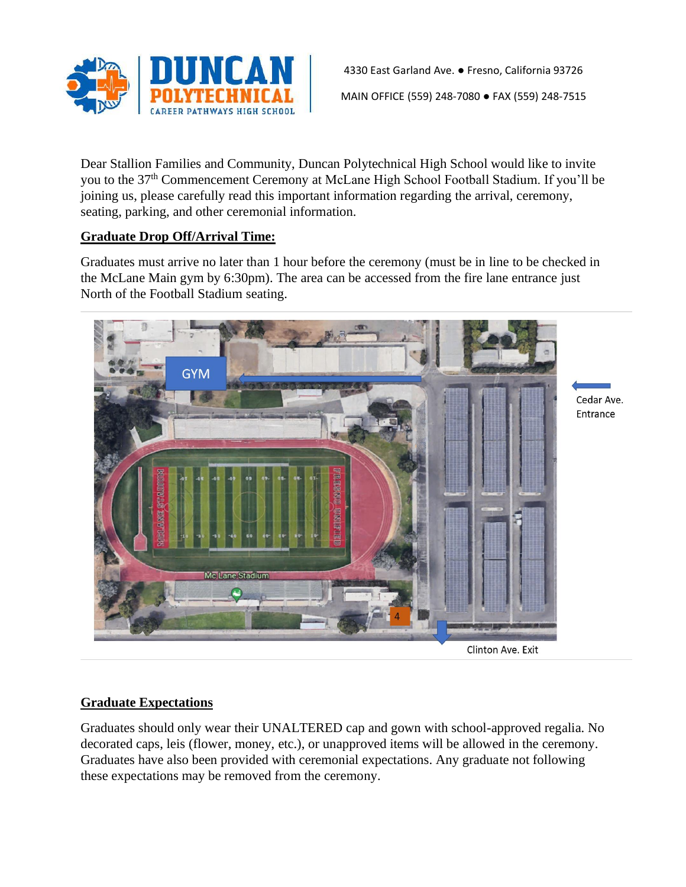

4330 East Garland Ave. ● Fresno, California 93726 MAIN OFFICE (559) 248-7080 ● FAX (559) 248-7515

Dear Stallion Families and Community, Duncan Polytechnical High School would like to invite you to the 37<sup>th</sup> Commencement Ceremony at McLane High School Football Stadium. If you'll be joining us, please carefully read this important information regarding the arrival, ceremony, seating, parking, and other ceremonial information.

# **Graduate Drop Off/Arrival Time:**

Graduates must arrive no later than 1 hour before the ceremony (must be in line to be checked in the McLane Main gym by 6:30pm). The area can be accessed from the fire lane entrance just North of the Football Stadium seating.



## **Graduate Expectations**

Graduates should only wear their UNALTERED cap and gown with school-approved regalia. No decorated caps, leis (flower, money, etc.), or unapproved items will be allowed in the ceremony. Graduates have also been provided with ceremonial expectations. Any graduate not following these expectations may be removed from the ceremony.